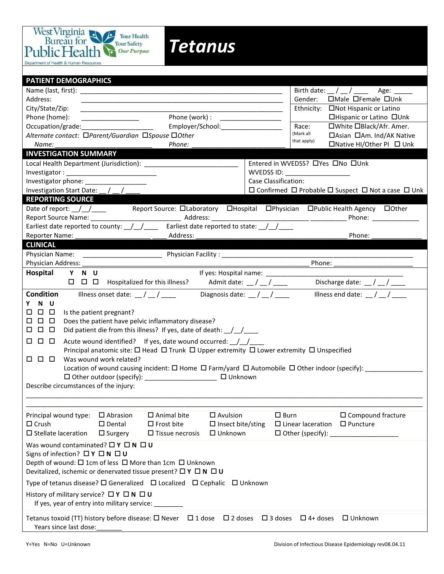

**PATIENT DEMOGRAPHICS** Name (last, first): \_\_\_\_\_\_\_\_\_\_\_\_\_\_\_\_\_\_\_\_\_\_\_\_\_\_\_\_\_\_\_\_\_\_\_\_\_\_\_\_\_\_\_\_\_\_\_\_\_\_\_\_\_\_\_\_ Birth date: \_\_ / \_\_ / \_\_\_\_ Age: \_\_\_\_\_ Address: \_\_\_\_\_\_\_\_\_\_\_\_\_\_\_\_\_\_\_\_\_\_\_\_\_\_\_\_\_\_\_\_\_\_\_\_\_\_\_\_\_\_\_\_\_\_\_\_\_\_\_\_\_\_\_\_ Gender: Male Female Unk City/State/Zip: 2002. 2003. The example of Latino and Ethnicity: City/State/Zip: 2006. Hispanic or Latino Phone (home): The Communication of Latino Communication of Latino Communication of Latino Communication of Latino Latino Latino Latino Latino Latino Latino Latino Latino Latino Latino Latino Latino Latino Latino Latino Lat Occupation/grade: The employer/School: The employer of the employer and the employer  $\blacksquare$  Race: The Multipun Black/Afr. Amer. Alternate contact: □Parent/Guardian □Spouse □Other **Alternative Alternate Am. Ind/AK Native** Alternative Am. Ind/AK Native *Name: \_\_\_\_\_\_\_\_\_\_\_\_\_\_\_\_\_\_\_\_\_\_\_\_\_\_\_ Phone: \_\_\_\_\_\_\_\_\_\_\_\_\_\_\_\_\_\_\_\_\_\_\_\_\_\_* Native HI/Other PI Unk **INVESTIGATION SUMMARY** Local Health Department (Jurisdiction): \_\_\_\_\_\_\_\_\_\_\_\_\_\_\_\_\_\_\_\_\_\_\_\_\_\_ Entered in WVEDSS? Yes No Unk Investigator : \_\_\_\_\_\_\_\_\_\_\_\_\_\_\_\_\_\_\_\_\_\_\_\_\_ WVEDSS ID: \_\_\_\_\_\_\_\_\_\_\_\_\_\_\_\_\_\_ Investigator phone: \_\_\_\_\_\_\_\_\_\_\_\_\_\_\_\_\_ Case Classification: Investigation Start Date:  $\frac{1}{2}$   $\frac{1}{2}$   $\frac{1}{2}$   $\frac{1}{2}$   $\frac{1}{2}$   $\frac{1}{2}$   $\frac{1}{2}$  Confirmed  $\Box$  Probable  $\Box$  Suspect  $\Box$  Not a case  $\Box$  Unk **REPORTING SOURCE** Date of report: <u>/ / and Report Source: Claboratory CHospital CPhysician CPublic Health Agency Clother</u> Report Source Name: \_\_\_\_\_\_\_\_\_\_\_\_\_\_\_\_\_\_\_\_\_\_\_\_\_ Address: \_\_\_\_\_\_\_\_\_\_\_\_\_\_\_\_\_\_\_\_\_\_\_\_\_\_\_ \_\_\_\_\_\_\_\_\_\_ Phone: \_\_\_\_\_\_\_\_\_\_\_\_\_ Earliest date reported to county:  $\frac{1}{2}$   $\frac{1}{2}$  Earliest date reported to state:  $\frac{1}{2}$   $\frac{1}{2}$ Reporter Name: etc. and the contract and address: the contract of the contract of the contract of the contract of the contract of the contract of the contract of the contract of the contract of the contract of the contract **CLINICAL** Physician Name: \_\_\_\_\_\_\_\_\_\_\_\_\_\_\_\_\_\_\_\_\_\_ Physician Facility : \_\_\_\_\_\_\_\_\_\_\_\_\_\_\_\_\_\_\_\_\_\_\_\_\_\_\_\_\_\_\_\_\_\_\_\_\_\_\_\_\_\_\_\_\_\_\_\_\_\_\_\_\_ Physician Address: \_\_\_\_\_\_\_\_\_\_\_\_\_\_\_\_\_\_\_\_\_\_\_\_\_\_\_\_\_\_\_\_\_\_\_\_\_\_\_\_\_\_\_\_\_\_\_\_\_\_\_\_\_\_\_\_\_\_\_\_\_\_\_ Phone: \_\_\_\_\_\_\_\_\_\_\_\_\_\_\_\_\_\_\_\_\_\_ **Hospital Y N U** If yes: Hospital name: \_\_\_\_\_\_\_\_\_\_\_\_\_\_\_\_\_\_\_\_\_\_\_\_\_\_\_\_\_\_\_\_\_\_\_\_\_\_ Hospitalized for this illness? Admit date: \_\_ / \_\_ / \_\_\_\_ Discharge date: \_\_ / \_\_ / \_\_\_\_ **Condition** Illness onset date:  $\frac{1}{2}$  / \_\_\_\_ Diagnosis date:  $\frac{1}{2}$  / \_\_\_ **Y N U**   $\square$   $\square$   $\square$  Is the patient pregnant?  $\Box$   $\Box$   $\Box$  Does the patient have pelvic inflammatory disease?  $\Box$   $\Box$   $\Box$  Did patient die from this illness? If yes, date of death:  $\Box/\Box/\Box$  $\Box$   $\Box$  Acute wound identified? If yes, date wound occurred:  $\Box$ Principal anatomic site:  $\square$  Head  $\square$  Trunk  $\square$  Upper extremity  $\square$  Lower extremity  $\square$  Unspecified  $\square$   $\square$   $\square$   $\square$  Was wound work related? Location of wound causing incident: Home Farm/yard Automobile Other indoor (specify): \_\_\_\_\_\_\_\_\_\_\_\_\_\_\_\_ Other outdoor (specify): \_\_\_\_\_\_\_\_\_\_\_\_\_\_\_\_\_\_\_\_ Unknown Describe circumstances of the injury: \_\_\_\_\_\_\_\_\_\_\_\_\_\_\_\_\_\_\_\_\_\_\_\_\_\_\_\_\_\_\_\_\_\_\_\_\_\_\_\_\_\_\_\_\_\_\_\_\_\_\_\_\_\_\_\_\_\_\_\_\_\_\_\_\_\_\_\_\_\_\_\_\_\_\_\_\_\_\_\_\_\_\_\_\_\_\_\_\_\_\_\_\_\_\_\_\_\_\_\_\_\_\_\_\_\_\_\_\_\_ \_\_\_\_\_\_\_\_\_\_\_\_\_\_\_\_\_\_\_\_\_\_\_\_\_\_\_\_\_\_\_\_\_\_\_\_\_\_\_\_\_\_\_\_\_\_\_\_\_\_\_\_\_\_\_\_\_\_\_\_\_\_\_\_\_\_\_\_\_\_\_\_\_\_\_\_\_\_\_\_\_\_\_\_\_\_\_\_\_\_\_\_\_\_\_\_\_\_\_\_\_\_\_\_\_\_\_\_\_\_ Principal wound type:  $\Box$  Abrasion  $\Box$  Animal bite  $\Box$  Avulsion  $\Box$  Burn  $\Box$  Compound fracture  $\square$  Crush  $\square$  Dental  $\square$  Frost bite  $\square$  Insect bite/sting  $\square$  Linear laceration  $\square$  Puncture  $\square$  Stellate laceration  $\square$  Surgery  $\square$  Tissue necrosis  $\square$  Unknown  $\square$  Other (specify): Was wound contaminated?  $\Box$  **Y**  $\Box$  **N**  $\Box$  **U** Signs of infection?  $\Box Y \Box N \Box U$ Depth of wound:  $\Box$  1cm of less  $\Box$  More than 1cm  $\Box$  Unknown Devitalized, ischemic or denervated tissue present?  $\Box Y \Box N \Box U$ Type of tetanus disease?  $\square$  Generalized  $\square$  Localized  $\square$  Cephalic  $\square$  Unknown History of military service? □ **Y** □ N □ U If yes, year of entry into military service: Tetanus toxoid (TT) history before disease:  $\Box$  Never  $\Box$  1 dose  $\Box$  2 doses  $\Box$  3 doses  $\Box$  4+ doses  $\Box$  Unknown Years since last dose: (Mark all that apply)

*Tetanus*